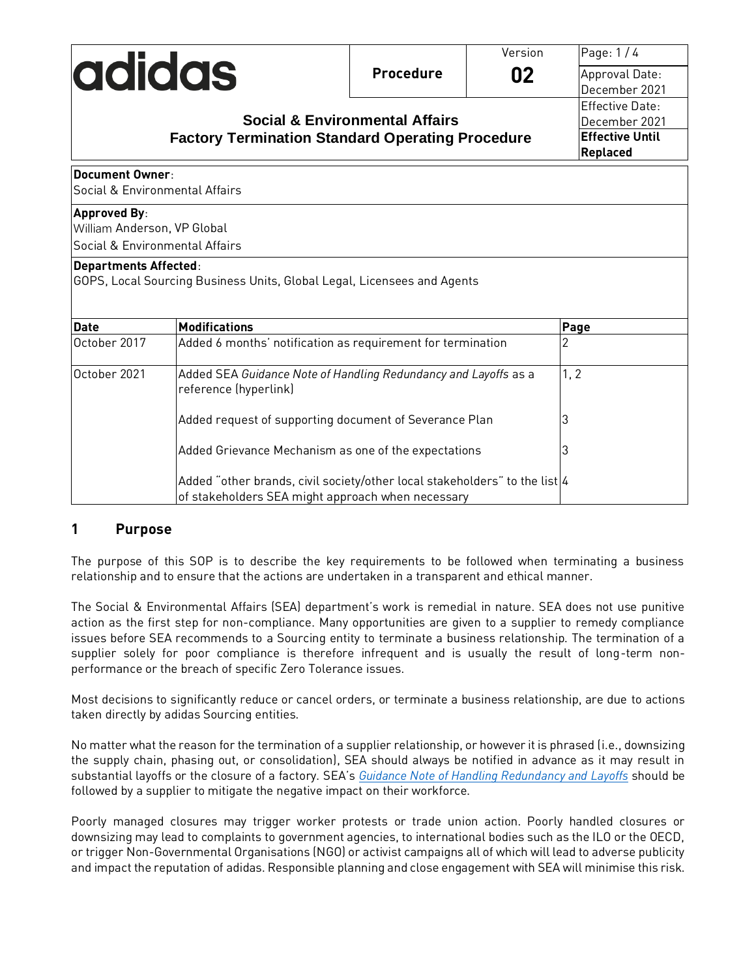|                                |                                                                                                                                 |                                           | Version | Page: 1/4              |
|--------------------------------|---------------------------------------------------------------------------------------------------------------------------------|-------------------------------------------|---------|------------------------|
| <b>adidas</b>                  |                                                                                                                                 | <b>Procedure</b>                          | 02      | Approval Date:         |
|                                |                                                                                                                                 |                                           |         | December 2021          |
|                                |                                                                                                                                 |                                           |         | <b>Effective Date:</b> |
|                                |                                                                                                                                 | <b>Social &amp; Environmental Affairs</b> |         | December 2021          |
|                                | <b>Factory Termination Standard Operating Procedure</b>                                                                         |                                           |         | <b>Effective Until</b> |
|                                | Replaced                                                                                                                        |                                           |         |                        |
| <b>Document Owner:</b>         |                                                                                                                                 |                                           |         |                        |
| Social & Environmental Affairs |                                                                                                                                 |                                           |         |                        |
| <b>Approved By:</b>            |                                                                                                                                 |                                           |         |                        |
| William Anderson, VP Global    |                                                                                                                                 |                                           |         |                        |
| Social & Environmental Affairs |                                                                                                                                 |                                           |         |                        |
| <b>Departments Affected:</b>   | GOPS, Local Sourcing Business Units, Global Legal, Licensees and Agents                                                         |                                           |         |                        |
| <b>Date</b>                    | <b>Modifications</b>                                                                                                            |                                           |         | Page                   |
| October 2017                   | Added 6 months' notification as requirement for termination                                                                     |                                           |         | 2                      |
| October 2021                   | Added SEA Guidance Note of Handling Redundancy and Layoffs as a<br>reference (hyperlink)                                        |                                           |         | 1, 2                   |
|                                | Added request of supporting document of Severance Plan                                                                          |                                           |         | 3                      |
|                                | Added Grievance Mechanism as one of the expectations                                                                            |                                           |         | 3                      |
|                                | Added "other brands, civil society/other local stakeholders" to the list 4<br>of stakeholders SEA might approach when necessary |                                           |         |                        |

## **1 Purpose**

The purpose of this SOP is to describe the key requirements to be followed when terminating a business relationship and to ensure that the actions are undertaken in a transparent and ethical manner.

The Social & Environmental Affairs (SEA) department's work is remedial in nature. SEA does not use punitive action as the first step for non-compliance. Many opportunities are given to a supplier to remedy compliance issues before SEA recommends to a Sourcing entity to terminate a business relationship. The termination of a supplier solely for poor compliance is therefore infrequent and is usually the result of long-term nonperformance or the breach of specific Zero Tolerance issues.

Most decisions to significantly reduce or cancel orders, or terminate a business relationship, are due to actions taken directly by adidas Sourcing entities.

No matter what the reason for the termination of a supplier relationship, or however it is phrased (i.e., downsizing the supply chain, phasing out, or consolidation), SEA should always be notified in advance as it may result in substantial layoffs or the closure of a factory. SEA's *[Guidance Note of Handling Redundancy and Layoffs](https://pspoanonymousstorage.blob.core.windows.net/seaprogrammeops/Shared%20Documents/SEA%20SOPs/Guidance%20Note%20on%20Handling%20Redundancy%20and%20Layoffs_Dec%202021%20Final.pdf)* should be followed by a supplier to mitigate the negative impact on their workforce.

Poorly managed closures may trigger worker protests or trade union action. Poorly handled closures or downsizing may lead to complaints to government agencies, to international bodies such as the ILO or the OECD, or trigger Non-Governmental Organisations (NGO) or activist campaigns all of which will lead to adverse publicity and impact the reputation of adidas. Responsible planning and close engagement with SEA will minimise this risk.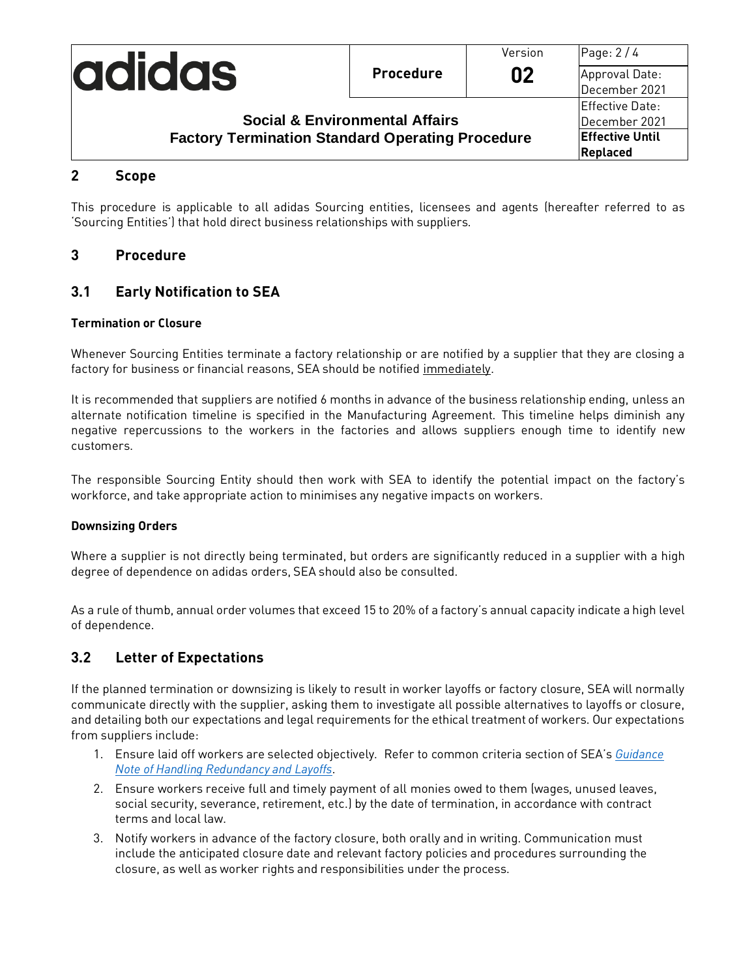|                                                         |                  | Version | Page: 2/4                       |
|---------------------------------------------------------|------------------|---------|---------------------------------|
| <b>adidas</b>                                           | <b>Procedure</b> | 02      | Approval Date:<br>December 2021 |
|                                                         |                  |         | Effective Date:                 |
| <b>Social &amp; Environmental Affairs</b>               |                  |         | December 2021                   |
| <b>Factory Termination Standard Operating Procedure</b> |                  |         | <b>Effective Until</b>          |
|                                                         |                  |         | Replaced                        |

#### **2 Scope**

This procedure is applicable to all adidas Sourcing entities, licensees and agents (hereafter referred to as 'Sourcing Entities') that hold direct business relationships with suppliers.

#### **3 Procedure**

#### **3.1 Early Notification to SEA**

#### **Termination or Closure**

Whenever Sourcing Entities terminate a factory relationship or are notified by a supplier that they are closing a factory for business or financial reasons, SEA should be notified immediately.

It is recommended that suppliers are notified 6 months in advance of the business relationship ending, unless an alternate notification timeline is specified in the Manufacturing Agreement. This timeline helps diminish any negative repercussions to the workers in the factories and allows suppliers enough time to identify new customers.

The responsible Sourcing Entity should then work with SEA to identify the potential impact on the factory's workforce, and take appropriate action to minimises any negative impacts on workers.

#### **Downsizing Orders**

Where a supplier is not directly being terminated, but orders are significantly reduced in a supplier with a high degree of dependence on adidas orders, SEA should also be consulted.

As a rule of thumb, annual order volumes that exceed 15 to 20% of a factory's annual capacity indicate a high level of dependence.

## **3.2 Letter of Expectations**

If the planned termination or downsizing is likely to result in worker layoffs or factory closure, SEA will normally communicate directly with the supplier, asking them to investigate all possible alternatives to layoffs or closure, and detailing both our expectations and legal requirements for the ethical treatment of workers. Our expectations from suppliers include:

- 1. Ensure laid off workers are selected objectively. Refer to common criteria section of SEA's *[Guidance](https://pspoanonymousstorage.blob.core.windows.net/seaprogrammeops/Shared%20Documents/SEA%20SOPs/Guidance%20Note%20on%20Handling%20Redundancy%20and%20Layoffs_Dec%202021%20Final.pdf)  Note [of Handling Redundancy and Layoffs](https://pspoanonymousstorage.blob.core.windows.net/seaprogrammeops/Shared%20Documents/SEA%20SOPs/Guidance%20Note%20on%20Handling%20Redundancy%20and%20Layoffs_Dec%202021%20Final.pdf)*.
- 2. Ensure workers receive full and timely payment of all monies owed to them (wages, unused leaves, social security, severance, retirement, etc.) by the date of termination, in accordance with contract terms and local law.
- 3. Notify workers in advance of the factory closure, both orally and in writing. Communication must include the anticipated closure date and relevant factory policies and procedures surrounding the closure, as well as worker rights and responsibilities under the process.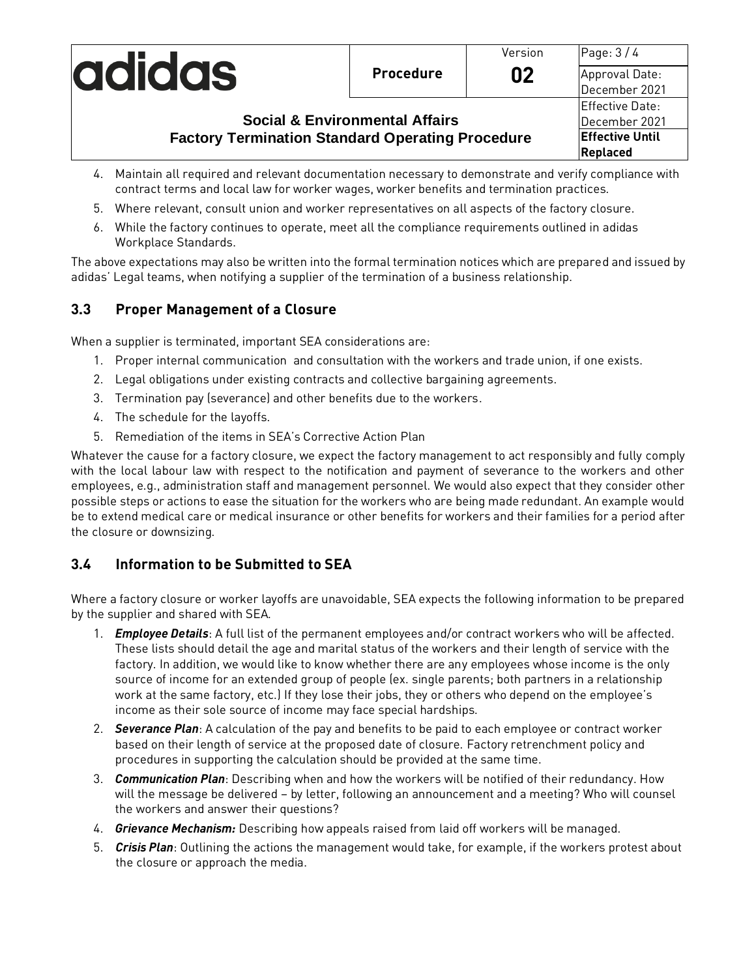|                                                                                                      |                  | Version | Page: $3/4$            |
|------------------------------------------------------------------------------------------------------|------------------|---------|------------------------|
| <b>adidas</b>                                                                                        | <b>Procedure</b> | 02      | Approval Date:         |
|                                                                                                      |                  |         | December 2021          |
|                                                                                                      |                  |         | Effective Date:        |
| <b>Social &amp; Environmental Affairs</b><br><b>Factory Termination Standard Operating Procedure</b> |                  |         | December 2021          |
|                                                                                                      |                  |         | <b>Effective Until</b> |
|                                                                                                      |                  |         | Replaced               |

- 4. Maintain all required and relevant documentation necessary to demonstrate and verify compliance with contract terms and local law for worker wages, worker benefits and termination practices.
- 5. Where relevant, consult union and worker representatives on all aspects of the factory closure.
- 6. While the factory continues to operate, meet all the compliance requirements outlined in adidas Workplace Standards.

The above expectations may also be written into the formal termination notices which are prepared and issued by adidas' Legal teams, when notifying a supplier of the termination of a business relationship.

## **3.3 Proper Management of a Closure**

When a supplier is terminated, important SEA considerations are:

- 1. Proper internal communication and consultation with the workers and trade union, if one exists.
- 2. Legal obligations under existing contracts and collective bargaining agreements.
- 3. Termination pay (severance) and other benefits due to the workers.
- 4. The schedule for the layoffs.
- 5. Remediation of the items in SEA's Corrective Action Plan

Whatever the cause for a factory closure, we expect the factory management to act responsibly and fully comply with the local labour law with respect to the notification and payment of severance to the workers and other employees, e.g., administration staff and management personnel. We would also expect that they consider other possible steps or actions to ease the situation for the workers who are being made redundant. An example would be to extend medical care or medical insurance or other benefits for workers and their families for a period after the closure or downsizing.

## **3.4 Information to be Submitted to SEA**

Where a factory closure or worker layoffs are unavoidable, SEA expects the following information to be prepared by the supplier and shared with SEA.

- 1. *Employee Details*: A full list of the permanent employees and/or contract workers who will be affected. These lists should detail the age and marital status of the workers and their length of service with the factory. In addition, we would like to know whether there are any employees whose income is the only source of income for an extended group of people (ex. single parents; both partners in a relationship work at the same factory, etc.) If they lose their jobs, they or others who depend on the employee's income as their sole source of income may face special hardships.
- 2. *Severance Plan*: A calculation of the pay and benefits to be paid to each employee or contract worker based on their length of service at the proposed date of closure. Factory retrenchment policy and procedures in supporting the calculation should be provided at the same time.
- 3. *Communication Plan*: Describing when and how the workers will be notified of their redundancy. How will the message be delivered – by letter, following an announcement and a meeting? Who will counsel the workers and answer their questions?
- 4. *Grievance Mechanism:* Describing how appeals raised from laid off workers will be managed.
- 5. *Crisis Plan*: Outlining the actions the management would take, for example, if the workers protest about the closure or approach the media.